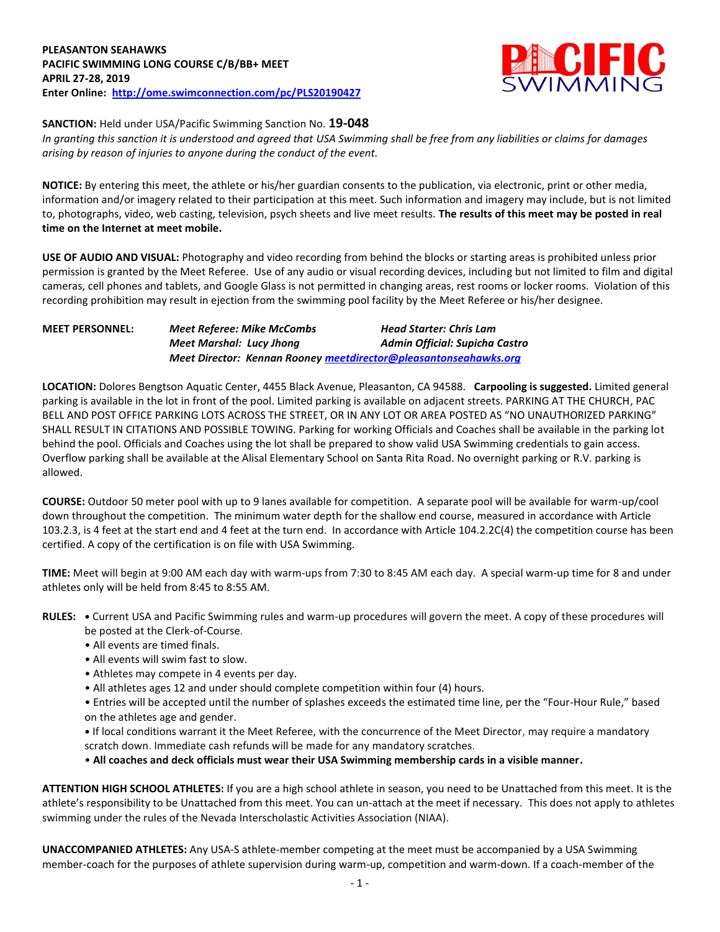

**SANCTION:** Held under USA/Pacific Swimming Sanction No. **19-048**

*In granting this sanction it is understood and agreed that USA Swimming shall be free from any liabilities or claims for damages arising by reason of injuries to anyone during the conduct of the event.* 

**NOTICE:** By entering this meet, the athlete or his/her guardian consents to the publication, via electronic, print or other media, information and/or imagery related to their participation at this meet. Such information and imagery may include, but is not limited to, photographs, video, web casting, television, psych sheets and live meet results. **The results of this meet may be posted in real time on the Internet at meet mobile.**

**USE OF AUDIO AND VISUAL:** Photography and video recording from behind the blocks or starting areas is prohibited unless prior permission is granted by the Meet Referee. Use of any audio or visual recording devices, including but not limited to film and digital cameras, cell phones and tablets, and Google Glass is not permitted in changing areas, rest rooms or locker rooms. Violation of this recording prohibition may result in ejection from the swimming pool facility by the Meet Referee or his/her designee.

**MEET PERSONNEL:** *Meet Referee: Mike McCombs Head Starter: Chris Lam Meet Marshal: Lucy Jhong Admin Official: Supicha Castro Meet Director: Kennan Rooney [meetdirector@pleasantonseahawks.org](mailto:meetdirector@pleasantonseahawks.org)*

**LOCATION:** Dolores Bengtson Aquatic Center, 4455 Black Avenue, Pleasanton, CA 94588. **Carpooling is suggested.** Limited general parking is available in the lot in front of the pool. Limited parking is available on adjacent streets. PARKING AT THE CHURCH, PAC BELL AND POST OFFICE PARKING LOTS ACROSS THE STREET, OR IN ANY LOT OR AREA POSTED AS "NO UNAUTHORIZED PARKING" SHALL RESULT IN CITATIONS AND POSSIBLE TOWING. Parking for working Officials and Coaches shall be available in the parking lot behind the pool. Officials and Coaches using the lot shall be prepared to show valid USA Swimming credentials to gain access. Overflow parking shall be available at the Alisal Elementary School on Santa Rita Road. No overnight parking or R.V. parking is allowed.

**COURSE:** Outdoor 50 meter pool with up to 9 lanes available for competition. A separate pool will be available for warm-up/cool down throughout the competition. The minimum water depth for the shallow end course, measured in accordance with Article 103.2.3, is 4 feet at the start end and 4 feet at the turn end. In accordance with Article 104.2.2C(4) the competition course has been certified. A copy of the certification is on file with USA Swimming.

**TIME:** Meet will begin at 9:00 AM each day with warm-ups from 7:30 to 8:45 AM each day. A special warm-up time for 8 and under athletes only will be held from 8:45 to 8:55 AM.

- **RULES: •** Current USA and Pacific Swimming rules and warm-up procedures will govern the meet. A copy of these procedures will be posted at the Clerk-of-Course.
	- All events are timed finals.
	- All events will swim fast to slow.
	- Athletes may compete in 4 events per day.
	- All athletes ages 12 and under should complete competition within four (4) hours.
	- Entries will be accepted until the number of splashes exceeds the estimated time line, per the "Four-Hour Rule," based on the athletes age and gender.

**•** If local conditions warrant it the Meet Referee, with the concurrence of the Meet Director, may require a mandatory scratch down. Immediate cash refunds will be made for any mandatory scratches.

• **All coaches and deck officials must wear their USA Swimming membership cards in a visible manner.** 

**ATTENTION HIGH SCHOOL ATHLETES:** If you are a high school athlete in season, you need to be Unattached from this meet. It is the athlete's responsibility to be Unattached from this meet. You can un-attach at the meet if necessary. This does not apply to athletes swimming under the rules of the Nevada Interscholastic Activities Association (NIAA).

**UNACCOMPANIED ATHLETES:** Any USA-S athlete-member competing at the meet must be accompanied by a USA Swimming member-coach for the purposes of athlete supervision during warm-up, competition and warm-down. If a coach-member of the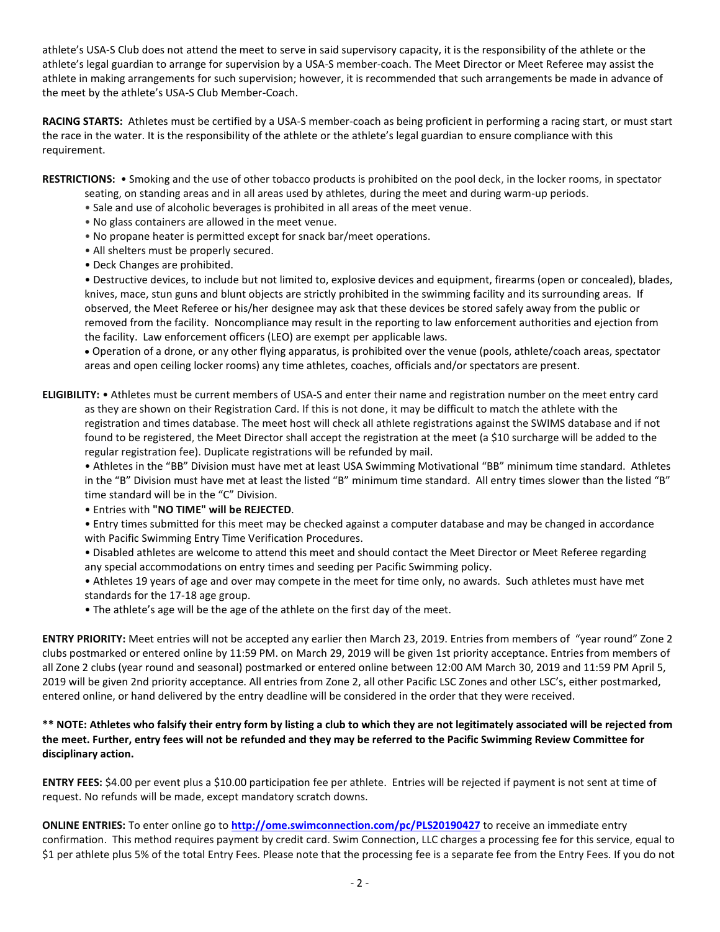athlete's USA-S Club does not attend the meet to serve in said supervisory capacity, it is the responsibility of the athlete or the athlete's legal guardian to arrange for supervision by a USA-S member-coach. The Meet Director or Meet Referee may assist the athlete in making arrangements for such supervision; however, it is recommended that such arrangements be made in advance of the meet by the athlete's USA-S Club Member-Coach.

**RACING STARTS:** Athletes must be certified by a USA-S member-coach as being proficient in performing a racing start, or must start the race in the water. It is the responsibility of the athlete or the athlete's legal guardian to ensure compliance with this requirement.

**RESTRICTIONS:** • Smoking and the use of other tobacco products is prohibited on the pool deck, in the locker rooms, in spectator

- seating, on standing areas and in all areas used by athletes, during the meet and during warm-up periods.
- Sale and use of alcoholic beverages is prohibited in all areas of the meet venue.
- No glass containers are allowed in the meet venue.
- No propane heater is permitted except for snack bar/meet operations.
- All shelters must be properly secured.
- Deck Changes are prohibited.

• Destructive devices, to include but not limited to, explosive devices and equipment, firearms (open or concealed), blades, knives, mace, stun guns and blunt objects are strictly prohibited in the swimming facility and its surrounding areas. If observed, the Meet Referee or his/her designee may ask that these devices be stored safely away from the public or removed from the facility. Noncompliance may result in the reporting to law enforcement authorities and ejection from the facility. Law enforcement officers (LEO) are exempt per applicable laws.

 Operation of a drone, or any other flying apparatus, is prohibited over the venue (pools, athlete/coach areas, spectator areas and open ceiling locker rooms) any time athletes, coaches, officials and/or spectators are present.

### **ELIGIBILITY:** • Athletes must be current members of USA-S and enter their name and registration number on the meet entry card as they are shown on their Registration Card. If this is not done, it may be difficult to match the athlete with the registration and times database. The meet host will check all athlete registrations against the SWIMS database and if not found to be registered, the Meet Director shall accept the registration at the meet (a \$10 surcharge will be added to the regular registration fee). Duplicate registrations will be refunded by mail.

• Athletes in the "BB" Division must have met at least USA Swimming Motivational "BB" minimum time standard. Athletes in the "B" Division must have met at least the listed "B" minimum time standard. All entry times slower than the listed "B" time standard will be in the "C" Division.

• Entries with **"NO TIME" will be REJECTED**.

• Entry times submitted for this meet may be checked against a computer database and may be changed in accordance with Pacific Swimming Entry Time Verification Procedures.

- Disabled athletes are welcome to attend this meet and should contact the Meet Director or Meet Referee regarding any special accommodations on entry times and seeding per Pacific Swimming policy.
- Athletes 19 years of age and over may compete in the meet for time only, no awards. Such athletes must have met standards for the 17-18 age group.
- The athlete's age will be the age of the athlete on the first day of the meet.

**ENTRY PRIORITY:** Meet entries will not be accepted any earlier then March 23, 2019. Entries from members of "year round" Zone 2 clubs postmarked or entered online by 11:59 PM. on March 29, 2019 will be given 1st priority acceptance. Entries from members of all Zone 2 clubs (year round and seasonal) postmarked or entered online between 12:00 AM March 30, 2019 and 11:59 PM April 5, 2019 will be given 2nd priority acceptance. All entries from Zone 2, all other Pacific LSC Zones and other LSC's, either postmarked, entered online, or hand delivered by the entry deadline will be considered in the order that they were received.

## **\*\* NOTE: Athletes who falsify their entry form by listing a club to which they are not legitimately associated will be rejected from the meet. Further, entry fees will not be refunded and they may be referred to the Pacific Swimming Review Committee for disciplinary action.**

**ENTRY FEES:** \$4.00 per event plus a \$10.00 participation fee per athlete. Entries will be rejected if payment is not sent at time of request. No refunds will be made, except mandatory scratch downs.

**ONLINE ENTRIES:** To enter online go to **<http://ome.swimconnection.com/pc/PLS20190427>** to receive an immediate entry confirmation. This method requires payment by credit card. Swim Connection, LLC charges a processing fee for this service, equal to \$1 per athlete plus 5% of the total Entry Fees. Please note that the processing fee is a separate fee from the Entry Fees. If you do not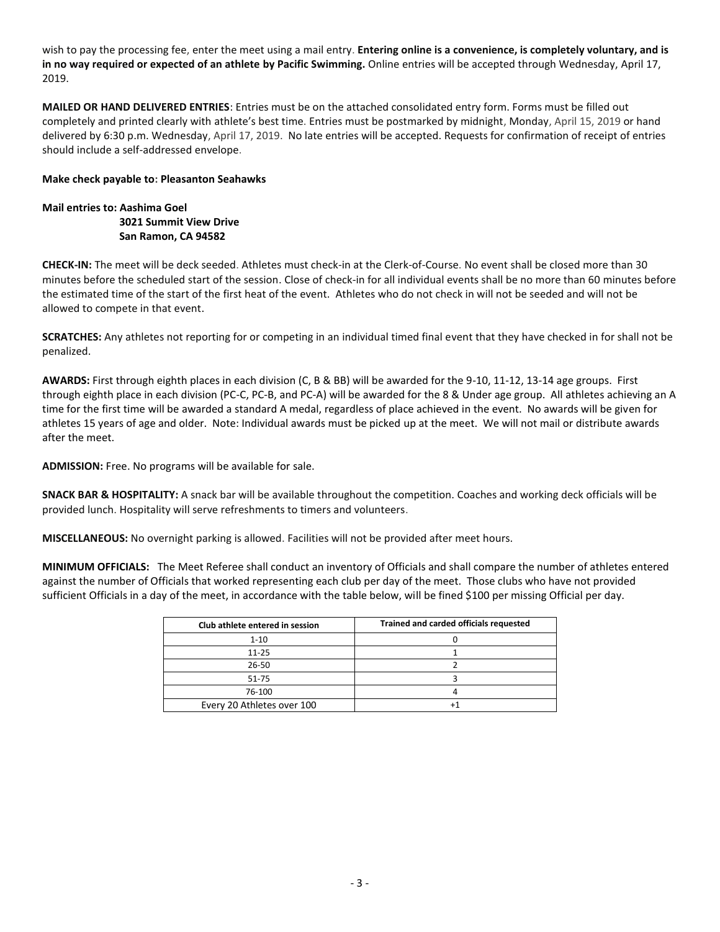wish to pay the processing fee, enter the meet using a mail entry. **Entering online is a convenience, is completely voluntary, and is in no way required or expected of an athlete by Pacific Swimming.** Online entries will be accepted through Wednesday, April 17, 2019.

**MAILED OR HAND DELIVERED ENTRIES**: Entries must be on the attached consolidated entry form. Forms must be filled out completely and printed clearly with athlete's best time. Entries must be postmarked by midnight, Monday, April 15, 2019 or hand delivered by 6:30 p.m. Wednesday, April 17, 2019. No late entries will be accepted. Requests for confirmation of receipt of entries should include a self-addressed envelope.

#### **Make check payable to: Pleasanton Seahawks**

# **Mail entries to: Aashima Goel 3021 Summit View Drive San Ramon, CA 94582**

**CHECK-IN:** The meet will be deck seeded. Athletes must check-in at the Clerk-of-Course. No event shall be closed more than 30 minutes before the scheduled start of the session. Close of check-in for all individual events shall be no more than 60 minutes before the estimated time of the start of the first heat of the event. Athletes who do not check in will not be seeded and will not be allowed to compete in that event.

**SCRATCHES:** Any athletes not reporting for or competing in an individual timed final event that they have checked in for shall not be penalized.

**AWARDS:** First through eighth places in each division (C, B & BB) will be awarded for the 9-10, 11-12, 13-14 age groups. First through eighth place in each division (PC-C, PC-B, and PC-A) will be awarded for the 8 & Under age group. All athletes achieving an A time for the first time will be awarded a standard A medal, regardless of place achieved in the event. No awards will be given for athletes 15 years of age and older. Note: Individual awards must be picked up at the meet. We will not mail or distribute awards after the meet.

**ADMISSION:** Free. No programs will be available for sale.

**SNACK BAR & HOSPITALITY:** A snack bar will be available throughout the competition. Coaches and working deck officials will be provided lunch. Hospitality will serve refreshments to timers and volunteers.

**MISCELLANEOUS:** No overnight parking is allowed. Facilities will not be provided after meet hours.

**MINIMUM OFFICIALS:** The Meet Referee shall conduct an inventory of Officials and shall compare the number of athletes entered against the number of Officials that worked representing each club per day of the meet. Those clubs who have not provided sufficient Officials in a day of the meet, in accordance with the table below, will be fined \$100 per missing Official per day.

| Club athlete entered in session | Trained and carded officials requested |  |  |  |  |  |  |
|---------------------------------|----------------------------------------|--|--|--|--|--|--|
| $1 - 10$                        |                                        |  |  |  |  |  |  |
| $11 - 25$                       |                                        |  |  |  |  |  |  |
| 26-50                           |                                        |  |  |  |  |  |  |
| 51-75                           |                                        |  |  |  |  |  |  |
| 76-100                          |                                        |  |  |  |  |  |  |
| Every 20 Athletes over 100      |                                        |  |  |  |  |  |  |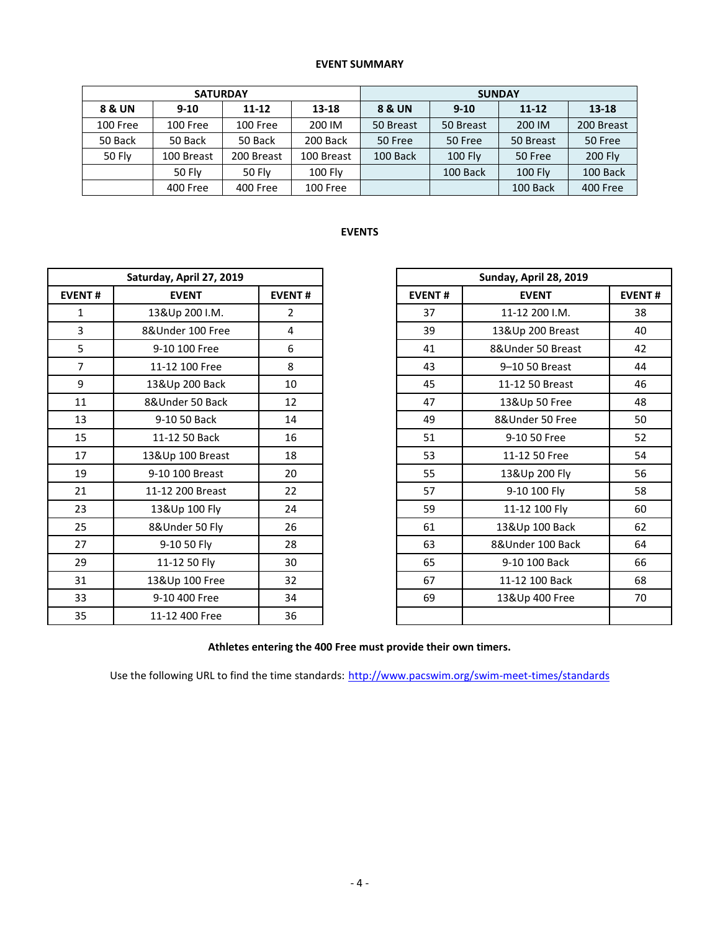# **EVENT SUMMARY**

|          | <b>SATURDAY</b> |               |            | <b>SUNDAY</b> |                |                |                |  |  |
|----------|-----------------|---------------|------------|---------------|----------------|----------------|----------------|--|--|
| 8 & UN   | $9 - 10$        | $11 - 12$     | 13-18      | 8 & UN        | $9 - 10$       | $11 - 12$      | 13-18          |  |  |
| 100 Free | 100 Free        | 100 Free      | 200 IM     | 50 Breast     | 50 Breast      | 200 IM         | 200 Breast     |  |  |
| 50 Back  | 50 Back         | 50 Back       | 200 Back   | 50 Free       | 50 Free        | 50 Breast      | 50 Free        |  |  |
| 50 Fly   | 100 Breast      | 200 Breast    | 100 Breast | 100 Back      | <b>100 Fly</b> | 50 Free        | <b>200 Fly</b> |  |  |
|          | <b>50 Fly</b>   | <b>50 Fly</b> | 100 Fly    |               | 100 Back       | <b>100 Fly</b> | 100 Back       |  |  |
|          | 400 Free        | 400 Free      | 100 Free   |               |                | 100 Back       | 400 Free       |  |  |

## **EVENTS**

|                | Saturday, April 27, 2019 |                | Sunday, April 28, 2019 |                   |
|----------------|--------------------------|----------------|------------------------|-------------------|
| <b>EVENT#</b>  | <b>EVENT</b>             | <b>EVENT#</b>  | <b>EVENT#</b>          | <b>EVENT</b>      |
| $\mathbf{1}$   | 13&Up 200 I.M.           | $\overline{2}$ | 37                     | 11-12 200 I.M.    |
| $\overline{3}$ | 8&Under 100 Free         | 4              | 39                     | 13&Up 200 Breast  |
| 5              | 9-10 100 Free            | 6              | 41                     | 8&Under 50 Breast |
| $\overline{7}$ | 11-12 100 Free           | 8              | 43                     | 9-10 50 Breast    |
| 9              | 13&Up 200 Back           | 10             | 45                     | 11-12 50 Breast   |
| 11             | 8&Under 50 Back          | 12             | 47                     | 13&Up 50 Free     |
| 13             | 9-10 50 Back             | 14             | 49                     | 8&Under 50 Free   |
| 15             | 11-12 50 Back            | 16             | 51                     | 9-10 50 Free      |
| 17             | 13&Up 100 Breast         | 18             | 53                     | 11-12 50 Free     |
| 19             | 9-10 100 Breast          | 20             | 55                     | 13&Up 200 Fly     |
| 21             | 11-12 200 Breast         | 22             | 57                     | 9-10 100 Fly      |
| 23             | 13&Up 100 Fly            | 24             | 59                     | 11-12 100 Fly     |
| 25             | 8&Under 50 Fly           | 26             | 61                     | 13&Up 100 Back    |
| 27             | 9-10 50 Fly              | 28             | 63                     | 8&Under 100 Back  |
| 29             | 11-12 50 Fly             | 30             | 65                     | 9-10 100 Back     |
| 31             | 13&Up 100 Free           | 32             | 67                     | 11-12 100 Back    |
| 33             | 9-10 400 Free            | 34             | 69                     | 13&Up 400 Free    |
| 35             | 11-12 400 Free           | 36             |                        |                   |

|                | Saturday, April 27, 2019 |                |
|----------------|--------------------------|----------------|
| <b>EVENT#</b>  | <b>EVENT</b>             | <b>EVENT#</b>  |
| 1              | 13&Up 200 I.M.           | $\overline{2}$ |
| $\overline{3}$ | 8&Under 100 Free         | 4              |
| 5              | 9-10 100 Free            | 6              |
| 7              | 11-12 100 Free           | 8              |
| 9              | 13&Up 200 Back           | 10             |
| 11             | 8&Under 50 Back          | 12             |
| 13             | 9-10 50 Back             | 14             |
| 15             | 11-12 50 Back            | 16             |
| 17             | 13&Up 100 Breast         | 18             |
| 19             | 9-10 100 Breast          | 20             |
| 21             | 11-12 200 Breast         | 22             |
| 23             | 13&Up 100 Fly            | 24             |
| 25             | 8&Under 50 Fly           | 26             |
| 27             | 9-10 50 Fly              | 28             |
| 29             | 11-12 50 Fly             | 30             |
| 31             | 13&Up 100 Free           | 32             |
| 33             | 9-10 400 Free            | 34             |
| 35             | 11-12 400 Free           | 36             |

**Athletes entering the 400 Free must provide their own timers.**

Use the following URL to find the time standards: <http://www.pacswim.org/swim-meet-times/standards>